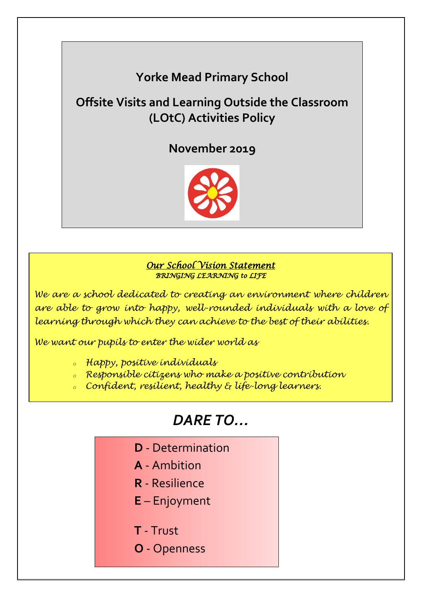## **Yorke Mead Primary School**

# **Offsite Visits and Learning Outside the Classroom (LOtC) Activities Policy**

**November 2019**



## *Our School Vision Statement BRINGING LEARNING to LIFE*

*We are a school dedicated to creating an environment where children are able to grow into happy, well-rounded individuals with a love of learning through which they can achieve to the best of their abilities.*

*We want our pupils to enter the wider world as*

*<sup>o</sup> Happy, positive individuals*

- *<sup>o</sup> Responsible citizens who make a positive contribution*
- *<sup>o</sup> Confident, resilient, healthy & life-long learners.*

# *DARE TO…*

- **D** Determination
- **A** Ambition
- **R** Resilience
- **E** Enjoyment
- **T** Trust
- **O** Openness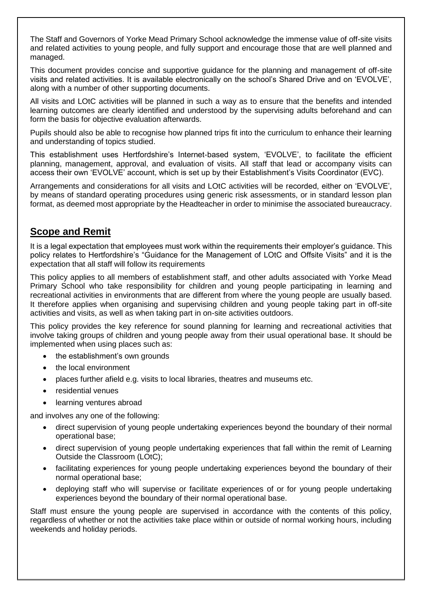The Staff and Governors of Yorke Mead Primary School acknowledge the immense value of off-site visits and related activities to young people, and fully support and encourage those that are well planned and managed.

This document provides concise and supportive guidance for the planning and management of off-site visits and related activities. It is available electronically on the school's Shared Drive and on 'EVOLVE', along with a number of other supporting documents.

All visits and LOtC activities will be planned in such a way as to ensure that the benefits and intended learning outcomes are clearly identified and understood by the supervising adults beforehand and can form the basis for objective evaluation afterwards.

Pupils should also be able to recognise how planned trips fit into the curriculum to enhance their learning and understanding of topics studied.

This establishment uses Hertfordshire's Internet-based system, 'EVOLVE', to facilitate the efficient planning, management, approval, and evaluation of visits. All staff that lead or accompany visits can access their own 'EVOLVE' account, which is set up by their Establishment's Visits Coordinator (EVC).

Arrangements and considerations for all visits and LOtC activities will be recorded, either on 'EVOLVE', by means of standard operating procedures using generic risk assessments, or in standard lesson plan format, as deemed most appropriate by the Headteacher in order to minimise the associated bureaucracy.

## **Scope and Remit**

It is a legal expectation that employees must work within the requirements their employer's guidance. This policy relates to Hertfordshire's "Guidance for the Management of LOtC and Offsite Visits" and it is the expectation that all staff will follow its requirements

This policy applies to all members of establishment staff, and other adults associated with Yorke Mead Primary School who take responsibility for children and young people participating in learning and recreational activities in environments that are different from where the young people are usually based. It therefore applies when organising and supervising children and young people taking part in off-site activities and visits, as well as when taking part in on-site activities outdoors.

This policy provides the key reference for sound planning for learning and recreational activities that involve taking groups of children and young people away from their usual operational base. It should be implemented when using places such as:

- the establishment's own grounds
- the local environment
- places further afield e.g. visits to local libraries, theatres and museums etc.
- residential venues
- learning ventures abroad

and involves any one of the following:

- direct supervision of young people undertaking experiences beyond the boundary of their normal operational base;
- direct supervision of young people undertaking experiences that fall within the remit of Learning Outside the Classroom (LOtC);
- facilitating experiences for young people undertaking experiences beyond the boundary of their normal operational base;
- deploying staff who will supervise or facilitate experiences of or for young people undertaking experiences beyond the boundary of their normal operational base.

Staff must ensure the young people are supervised in accordance with the contents of this policy, regardless of whether or not the activities take place within or outside of normal working hours, including weekends and holiday periods.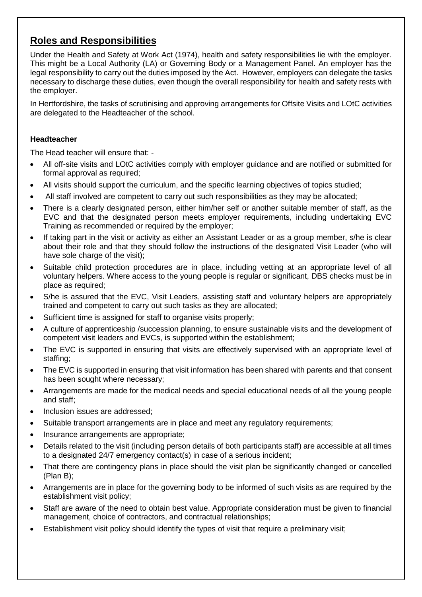## **Roles and Responsibilities**

Under the Health and Safety at Work Act (1974), health and safety responsibilities lie with the employer. This might be a Local Authority (LA) or Governing Body or a Management Panel. An employer has the legal responsibility to carry out the duties imposed by the Act. However, employers can delegate the tasks necessary to discharge these duties, even though the overall responsibility for health and safety rests with the employer.

In Hertfordshire, the tasks of scrutinising and approving arrangements for Offsite Visits and LOtC activities are delegated to the Headteacher of the school.

## **Headteacher**

The Head teacher will ensure that: -

- All off-site visits and LOtC activities comply with employer guidance and are notified or submitted for formal approval as required;
- All visits should support the curriculum, and the specific learning objectives of topics studied;
- All staff involved are competent to carry out such responsibilities as they may be allocated;
- There is a clearly designated person, either him/her self or another suitable member of staff, as the EVC and that the designated person meets employer requirements, including undertaking EVC Training as recommended or required by the employer;
- If taking part in the visit or activity as either an Assistant Leader or as a group member, s/he is clear about their role and that they should follow the instructions of the designated Visit Leader (who will have sole charge of the visit);
- Suitable child protection procedures are in place, including vetting at an appropriate level of all voluntary helpers. Where access to the young people is regular or significant, DBS checks must be in place as required;
- S/he is assured that the EVC, Visit Leaders, assisting staff and voluntary helpers are appropriately trained and competent to carry out such tasks as they are allocated;
- Sufficient time is assigned for staff to organise visits properly;
- A culture of apprenticeship /succession planning, to ensure sustainable visits and the development of competent visit leaders and EVCs, is supported within the establishment;
- The EVC is supported in ensuring that visits are effectively supervised with an appropriate level of staffing;
- The EVC is supported in ensuring that visit information has been shared with parents and that consent has been sought where necessary;
- Arrangements are made for the medical needs and special educational needs of all the young people and staff;
- Inclusion issues are addressed;
- Suitable transport arrangements are in place and meet any regulatory requirements;
- Insurance arrangements are appropriate;
- Details related to the visit (including person details of both participants staff) are accessible at all times to a designated 24/7 emergency contact(s) in case of a serious incident;
- That there are contingency plans in place should the visit plan be significantly changed or cancelled (Plan B);
- Arrangements are in place for the governing body to be informed of such visits as are required by the establishment visit policy;
- Staff are aware of the need to obtain best value. Appropriate consideration must be given to financial management, choice of contractors, and contractual relationships;
- Establishment visit policy should identify the types of visit that require a preliminary visit;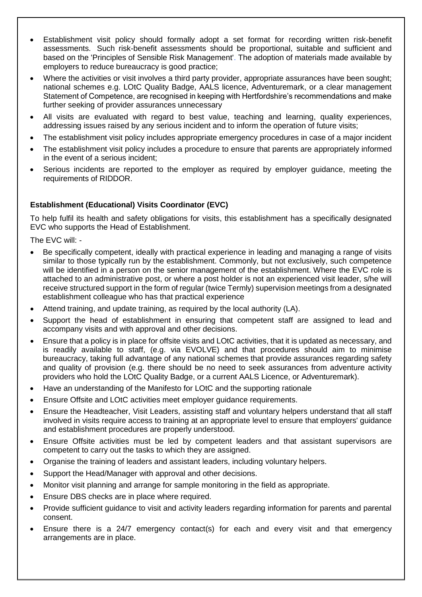- Establishment visit policy should formally adopt a set format for recording written risk-benefit assessments. Such risk-benefit assessments should be proportional, suitable and sufficient and based on the 'Principles of Sensible Risk Management'. The adoption of materials made available by employers to reduce bureaucracy is good practice;
- Where the activities or visit involves a third party provider, appropriate assurances have been sought; national schemes e.g. LOtC Quality Badge, AALS licence, Adventuremark, or a clear management Statement of Competence, are recognised in keeping with Hertfordshire's recommendations and make further seeking of provider assurances unnecessary
- All visits are evaluated with regard to best value, teaching and learning, quality experiences, addressing issues raised by any serious incident and to inform the operation of future visits;
- The establishment visit policy includes appropriate emergency procedures in case of a major incident
- The establishment visit policy includes a procedure to ensure that parents are appropriately informed in the event of a serious incident;
- Serious incidents are reported to the employer as required by employer guidance, meeting the requirements of RIDDOR.

## **Establishment (Educational) Visits Coordinator (EVC)**

To help fulfil its health and safety obligations for visits, this establishment has a specifically designated EVC who supports the Head of Establishment.

The EVC will: -

- Be specifically competent, ideally with practical experience in leading and managing a range of visits similar to those typically run by the establishment. Commonly, but not exclusively, such competence will be identified in a person on the senior management of the establishment. Where the EVC role is attached to an administrative post, or where a post holder is not an experienced visit leader, s/he will receive structured support in the form of regular (twice Termly) supervision meetings from a designated establishment colleague who has that practical experience
- Attend training, and update training, as required by the local authority (LA).
- Support the head of establishment in ensuring that competent staff are assigned to lead and accompany visits and with approval and other decisions.
- Ensure that a policy is in place for offsite visits and LOtC activities, that it is updated as necessary, and is readily available to staff, (e.g. via EVOLVE) and that procedures should aim to minimise bureaucracy, taking full advantage of any national schemes that provide assurances regarding safety and quality of provision (e.g. there should be no need to seek assurances from adventure activity providers who hold the LOtC Quality Badge, or a current AALS Licence, or Adventuremark).
- Have an understanding of the Manifesto for LOtC and the supporting rationale
- Ensure Offsite and LOtC activities meet employer guidance requirements.
- Ensure the Headteacher, Visit Leaders, assisting staff and voluntary helpers understand that all staff involved in visits require access to training at an appropriate level to ensure that employers' guidance and establishment procedures are properly understood.
- Ensure Offsite activities must be led by competent leaders and that assistant supervisors are competent to carry out the tasks to which they are assigned.
- Organise the training of leaders and assistant leaders, including voluntary helpers.
- Support the Head/Manager with approval and other decisions.
- Monitor visit planning and arrange for sample monitoring in the field as appropriate.
- Ensure DBS checks are in place where required.
- Provide sufficient guidance to visit and activity leaders regarding information for parents and parental consent.
- Ensure there is a 24/7 emergency contact(s) for each and every visit and that emergency arrangements are in place.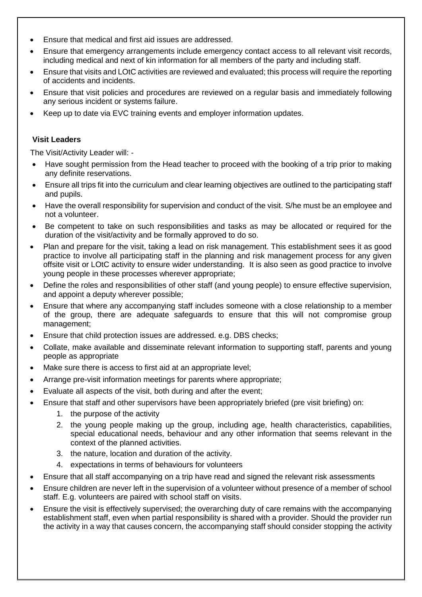- Ensure that medical and first aid issues are addressed.
- Ensure that emergency arrangements include emergency contact access to all relevant visit records, including medical and next of kin information for all members of the party and including staff.
- Ensure that visits and LOtC activities are reviewed and evaluated; this process will require the reporting of accidents and incidents.
- Ensure that visit policies and procedures are reviewed on a regular basis and immediately following any serious incident or systems failure.
- Keep up to date via EVC training events and employer information updates.

## **Visit Leaders**

The Visit/Activity Leader will: -

- Have sought permission from the Head teacher to proceed with the booking of a trip prior to making any definite reservations.
- Ensure all trips fit into the curriculum and clear learning objectives are outlined to the participating staff and pupils.
- Have the overall responsibility for supervision and conduct of the visit. S/he must be an employee and not a volunteer.
- Be competent to take on such responsibilities and tasks as may be allocated or required for the duration of the visit/activity and be formally approved to do so.
- Plan and prepare for the visit, taking a lead on risk management. This establishment sees it as good practice to involve all participating staff in the planning and risk management process for any given offsite visit or LOtC activity to ensure wider understanding. It is also seen as good practice to involve young people in these processes wherever appropriate;
- Define the roles and responsibilities of other staff (and young people) to ensure effective supervision, and appoint a deputy wherever possible;
- Ensure that where any accompanying staff includes someone with a close relationship to a member of the group, there are adequate safeguards to ensure that this will not compromise group management;
- Ensure that child protection issues are addressed. e.g. DBS checks;
- Collate, make available and disseminate relevant information to supporting staff, parents and young people as appropriate
- Make sure there is access to first aid at an appropriate level;
- Arrange pre-visit information meetings for parents where appropriate;
- Evaluate all aspects of the visit, both during and after the event;
- Ensure that staff and other supervisors have been appropriately briefed (pre visit briefing) on:
	- 1. the purpose of the activity
	- 2. the young people making up the group, including age, health characteristics, capabilities, special educational needs, behaviour and any other information that seems relevant in the context of the planned activities.
	- 3. the nature, location and duration of the activity.
	- 4. expectations in terms of behaviours for volunteers
- Ensure that all staff accompanying on a trip have read and signed the relevant risk assessments
- Ensure children are never left in the supervision of a volunteer without presence of a member of school staff. E.g. volunteers are paired with school staff on visits.
- Ensure the visit is effectively supervised; the overarching duty of care remains with the accompanying establishment staff, even when partial responsibility is shared with a provider. Should the provider run the activity in a way that causes concern, the accompanying staff should consider stopping the activity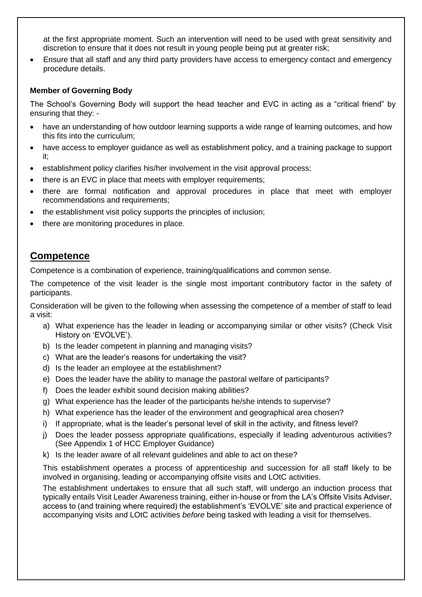at the first appropriate moment. Such an intervention will need to be used with great sensitivity and discretion to ensure that it does not result in young people being put at greater risk;

 Ensure that all staff and any third party providers have access to emergency contact and emergency procedure details.

#### **Member of Governing Body**

The School's Governing Body will support the head teacher and EVC in acting as a "critical friend" by ensuring that they: -

- have an understanding of how outdoor learning supports a wide range of learning outcomes, and how this fits into the curriculum;
- have access to employer guidance as well as establishment policy, and a training package to support it;
- establishment policy clarifies his/her involvement in the visit approval process;
- there is an EVC in place that meets with employer requirements;
- there are formal notification and approval procedures in place that meet with employer recommendations and requirements;
- the establishment visit policy supports the principles of inclusion;
- there are monitoring procedures in place.

## **Competence**

Competence is a combination of experience, training/qualifications and common sense.

The competence of the visit leader is the single most important contributory factor in the safety of participants.

Consideration will be given to the following when assessing the competence of a member of staff to lead a visit:

- a) What experience has the leader in leading or accompanying similar or other visits? (Check Visit History on 'EVOLVE').
- b) Is the leader competent in planning and managing visits?
- c) What are the leader's reasons for undertaking the visit?
- d) Is the leader an employee at the establishment?
- e) Does the leader have the ability to manage the pastoral welfare of participants?
- f) Does the leader exhibit sound decision making abilities?
- g) What experience has the leader of the participants he/she intends to supervise?
- h) What experience has the leader of the environment and geographical area chosen?
- i) If appropriate, what is the leader's personal level of skill in the activity, and fitness level?
- j) Does the leader possess appropriate qualifications, especially if leading adventurous activities? (See Appendix 1 of HCC Employer Guidance)
- k) Is the leader aware of all relevant guidelines and able to act on these?

This establishment operates a process of apprenticeship and succession for all staff likely to be involved in organising, leading or accompanying offsite visits and LOtC activities.

The establishment undertakes to ensure that all such staff, will undergo an induction process that typically entails Visit Leader Awareness training, either in-house or from the LA's Offsite Visits Adviser, access to (and training where required) the establishment's 'EVOLVE' site and practical experience of accompanying visits and LOtC activities *before* being tasked with leading a visit for themselves.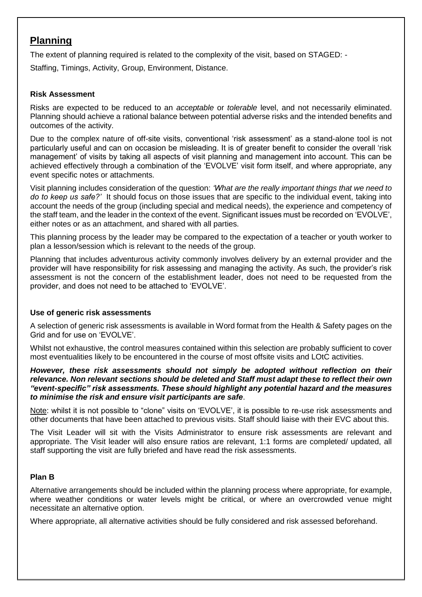## **Planning**

The extent of planning required is related to the complexity of the visit, based on STAGED: -

Staffing, Timings, Activity, Group, Environment, Distance.

#### **Risk Assessment**

Risks are expected to be reduced to an *acceptable* or *tolerable* level, and not necessarily eliminated. Planning should achieve a rational balance between potential adverse risks and the intended benefits and outcomes of the activity.

Due to the complex nature of off-site visits, conventional 'risk assessment' as a stand-alone tool is not particularly useful and can on occasion be misleading. It is of greater benefit to consider the overall 'risk management' of visits by taking all aspects of visit planning and management into account. This can be achieved effectively through a combination of the 'EVOLVE' visit form itself, and where appropriate, any event specific notes or attachments.

Visit planning includes consideration of the question: *'What are the really important things that we need to do to keep us safe?'* It should focus on those issues that are specific to the individual event, taking into account the needs of the group (including special and medical needs), the experience and competency of the staff team, and the leader in the context of the event. Significant issues must be recorded on 'EVOLVE', either notes or as an attachment, and shared with all parties.

This planning process by the leader may be compared to the expectation of a teacher or youth worker to plan a lesson/session which is relevant to the needs of the group.

Planning that includes adventurous activity commonly involves delivery by an external provider and the provider will have responsibility for risk assessing and managing the activity. As such, the provider's risk assessment is not the concern of the establishment leader, does not need to be requested from the provider, and does not need to be attached to 'EVOLVE'.

#### **Use of generic risk assessments**

A selection of generic risk assessments is available in Word format from the Health & Safety pages on the Grid and for use on 'EVOLVE'.

Whilst not exhaustive, the control measures contained within this selection are probably sufficient to cover most eventualities likely to be encountered in the course of most offsite visits and LOtC activities.

*However, these risk assessments should not simply be adopted without reflection on their relevance. Non relevant sections should be deleted and Staff must adapt these to reflect their own "event-specific" risk assessments. These should highlight any potential hazard and the measures to minimise the risk and ensure visit participants are safe*.

Note: whilst it is not possible to "clone" visits on 'EVOLVE', it is possible to re-use risk assessments and other documents that have been attached to previous visits. Staff should liaise with their EVC about this.

The Visit Leader will sit with the Visits Administrator to ensure risk assessments are relevant and appropriate. The Visit leader will also ensure ratios are relevant, 1:1 forms are completed/ updated, all staff supporting the visit are fully briefed and have read the risk assessments.

#### **Plan B**

Alternative arrangements should be included within the planning process where appropriate, for example, where weather conditions or water levels might be critical, or where an overcrowded venue might necessitate an alternative option.

Where appropriate, all alternative activities should be fully considered and risk assessed beforehand.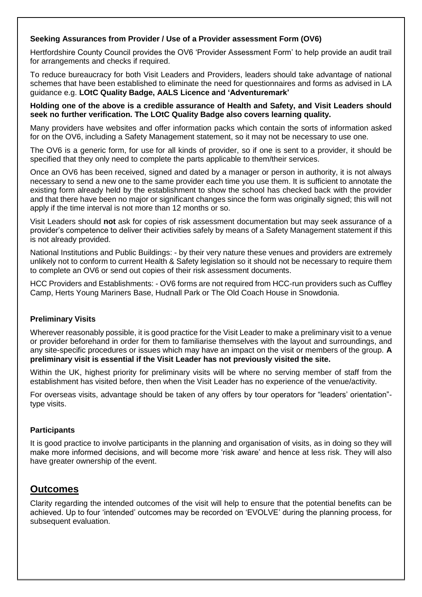#### **Seeking Assurances from Provider / Use of a Provider assessment Form (OV6)**

Hertfordshire County Council provides the OV6 'Provider Assessment Form' to help provide an audit trail for arrangements and checks if required.

To reduce bureaucracy for both Visit Leaders and Providers, leaders should take advantage of national schemes that have been established to eliminate the need for questionnaires and forms as advised in LA guidance e.g. **LOtC Quality Badge, AALS Licence and 'Adventuremark'**

**Holding one of the above is a credible assurance of Health and Safety, and Visit Leaders should seek no further verification. The LOtC Quality Badge also covers learning quality.**

Many providers have websites and offer information packs which contain the sorts of information asked for on the OV6, including a Safety Management statement, so it may not be necessary to use one.

The OV6 is a generic form, for use for all kinds of provider, so if one is sent to a provider, it should be specified that they only need to complete the parts applicable to them/their services.

Once an OV6 has been received, signed and dated by a manager or person in authority, it is not always necessary to send a new one to the same provider each time you use them. It is sufficient to annotate the existing form already held by the establishment to show the school has checked back with the provider and that there have been no major or significant changes since the form was originally signed; this will not apply if the time interval is not more than 12 months or so.

Visit Leaders should **not** ask for copies of risk assessment documentation but may seek assurance of a provider's competence to deliver their activities safely by means of a Safety Management statement if this is not already provided.

National Institutions and Public Buildings: - by their very nature these venues and providers are extremely unlikely not to conform to current Health & Safety legislation so it should not be necessary to require them to complete an OV6 or send out copies of their risk assessment documents.

HCC Providers and Establishments: - OV6 forms are not required from HCC-run providers such as Cuffley Camp, Herts Young Mariners Base, Hudnall Park or The Old Coach House in Snowdonia.

#### **Preliminary Visits**

Wherever reasonably possible, it is good practice for the Visit Leader to make a preliminary visit to a venue or provider beforehand in order for them to familiarise themselves with the layout and surroundings, and any site-specific procedures or issues which may have an impact on the visit or members of the group. **A preliminary visit is essential if the Visit Leader has not previously visited the site.**

Within the UK, highest priority for preliminary visits will be where no serving member of staff from the establishment has visited before, then when the Visit Leader has no experience of the venue/activity.

For overseas visits, advantage should be taken of any offers by tour operators for "leaders' orientation" type visits.

#### **Participants**

It is good practice to involve participants in the planning and organisation of visits, as in doing so they will make more informed decisions, and will become more 'risk aware' and hence at less risk. They will also have greater ownership of the event.

## **Outcomes**

Clarity regarding the intended outcomes of the visit will help to ensure that the potential benefits can be achieved. Up to four 'intended' outcomes may be recorded on 'EVOLVE' during the planning process, for subsequent evaluation.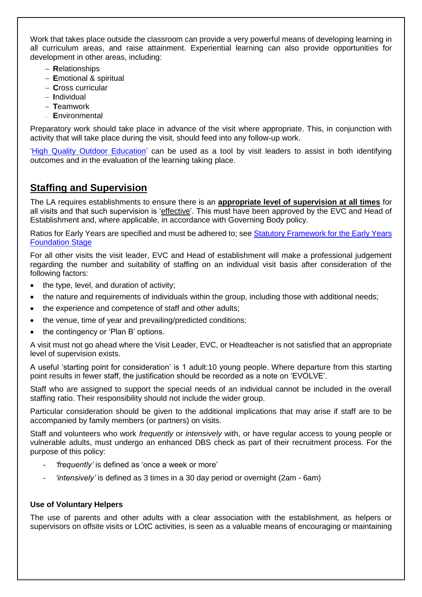Work that takes place outside the classroom can provide a very powerful means of developing learning in all curriculum areas, and raise attainment. Experiential learning can also provide opportunities for development in other areas, including:

- **R**elationships
- **E**motional & spiritual
- **C**ross curricular
- **I**ndividual
- **T**eamwork
- **E**nvironmental

Preparatory work should take place in advance of the visit where appropriate. This, in conjunction with activity that will take place during the visit, should feed into any follow-up work.

['High Quality Outdoor Education'](http://www.national-library.info/download.asp?fileid=483) can be used as a tool by visit leaders to assist in both identifying outcomes and in the evaluation of the learning taking place.

## **Staffing and Supervision**

The LA requires establishments to ensure there is an **appropriate level of supervision at all times** for all visits and that such supervision is 'effective'. This must have been approved by the EVC and Head of Establishment and, where applicable, in accordance with Governing Body policy.

Ratios for Early Years are specified and must be adhered to; see Statutory Framework for the Early Years [Foundation Stage](http://www.national-library.info/download.asp?fileid=1273)

For all other visits the visit leader, EVC and Head of establishment will make a professional judgement regarding the number and suitability of staffing on an individual visit basis after consideration of the following factors:

- $\bullet$  the type, level, and duration of activity;
- the nature and requirements of individuals within the group, including those with additional needs;
- the experience and competence of staff and other adults;
- the venue, time of year and prevailing/predicted conditions;
- the contingency or 'Plan B' options.

A visit must not go ahead where the Visit Leader, EVC, or Headteacher is not satisfied that an appropriate level of supervision exists.

A useful 'starting point for consideration' is 1 adult:10 young people. Where departure from this starting point results in fewer staff, the justification should be recorded as a note on 'EVOLVE'.

Staff who are assigned to support the special needs of an individual cannot be included in the overall staffing ratio. Their responsibility should not include the wider group.

Particular consideration should be given to the additional implications that may arise if staff are to be accompanied by family members (or partners) on visits.

Staff and volunteers who work *frequently* or *intensively* with, or have regular access to young people or vulnerable adults, must undergo an enhanced DBS check as part of their recruitment process. For the purpose of this policy:

- *- 'frequently'* is defined as 'once a week or more'
- *- 'intensively'* is defined as 3 times in a 30 day period or overnight (2am 6am)

#### **Use of Voluntary Helpers**

The use of parents and other adults with a clear association with the establishment, as helpers or supervisors on offsite visits or LOtC activities, is seen as a valuable means of encouraging or maintaining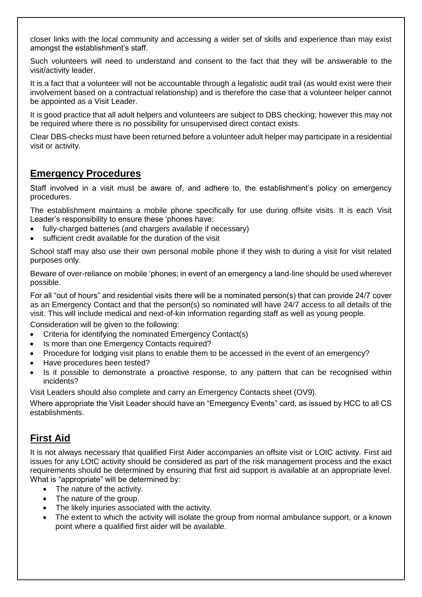closer links with the local community and accessing a wider set of skills and experience than may exist amongst the establishment's staff.

Such volunteers will need to understand and consent to the fact that they will be answerable to the visit/activity leader.

It is a fact that a volunteer will not be accountable through a legalistic audit trail (as would exist were their involvement based on a contractual relationship) and is therefore the case that a volunteer helper cannot be appointed as a Visit Leader.

It is good practice that all adult helpers and volunteers are subject to DBS checking; however this may not be required where there is no possibility for unsupervised direct contact exists.

Clear DBS-checks must have been returned before a volunteer adult helper may participate in a residential visit or activity.

## **Emergency Procedures**

Staff involved in a visit must be aware of, and adhere to, the establishment's policy on emergency procedures.

The establishment maintains a mobile phone specifically for use during offsite visits. It is each Visit Leader's responsibility to ensure these 'phones have:

- fully-charged batteries (and chargers available if necessary)
- sufficient credit available for the duration of the visit

School staff may also use their own personal mobile phone if they wish to during a visit for visit related purposes only.

Beware of over-reliance on mobile 'phones; in event of an emergency a land-line should be used wherever possible.

For all "out of hours" and residential visits there will be a nominated person(s) that can provide 24/7 cover as an Emergency Contact and that the person(s) so nominated will have 24/7 access to all details of the visit. This will include medical and next-of-kin information regarding staff as well as young people.

Consideration will be given to the following:

- Criteria for identifying the nominated Emergency Contact(s)
- Is more than one Emergency Contacts required?
- Procedure for lodging visit plans to enable them to be accessed in the event of an emergency?
- Have procedures been tested?
- Is it possible to demonstrate a proactive response, to any pattern that can be recognised within incidents?

Visit Leaders should also complete and carry an Emergency Contacts sheet (OV9).

Where appropriate the Visit Leader should have an "Emergency Events" card, as issued by HCC to all CS establishments.

## **First Aid**

It is not always necessary that qualified First Aider accompanies an offsite visit or LOtC activity. First aid issues for any LOtC activity should be considered as part of the risk management process and the exact requirements should be determined by ensuring that first aid support is available at an appropriate level. What is "appropriate" will be determined by:

- The nature of the activity.
- The nature of the group.
- The likely injuries associated with the activity.
- The extent to which the activity will isolate the group from normal ambulance support, or a known point where a qualified first aider will be available.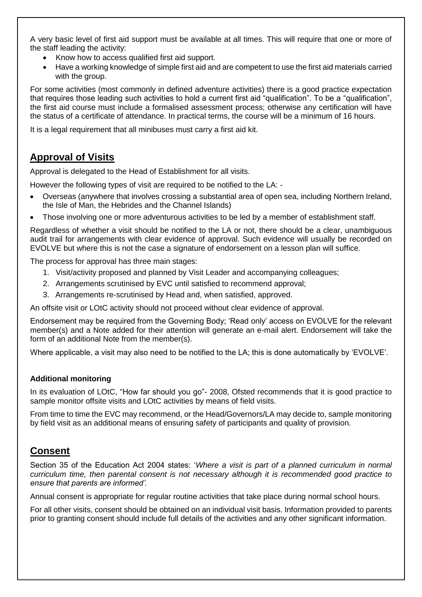A very basic level of first aid support must be available at all times. This will require that one or more of the staff leading the activity:

- Know how to access qualified first aid support.
- Have a working knowledge of simple first aid and are competent to use the first aid materials carried with the group.

For some activities (most commonly in defined adventure activities) there is a good practice expectation that requires those leading such activities to hold a current first aid "qualification". To be a "qualification", the first aid course must include a formalised assessment process; otherwise any certification will have the status of a certificate of attendance. In practical terms, the course will be a minimum of 16 hours.

It is a legal requirement that all minibuses must carry a first aid kit.

## **Approval of Visits**

Approval is delegated to the Head of Establishment for all visits.

However the following types of visit are required to be notified to the LA: -

- Overseas (anywhere that involves crossing a substantial area of open sea, including Northern Ireland, the Isle of Man, the Hebrides and the Channel Islands)
- Those involving one or more adventurous activities to be led by a member of establishment staff.

Regardless of whether a visit should be notified to the LA or not, there should be a clear, unambiguous audit trail for arrangements with clear evidence of approval. Such evidence will usually be recorded on EVOLVE but where this is not the case a signature of endorsement on a lesson plan will suffice.

The process for approval has three main stages:

- 1. Visit/activity proposed and planned by Visit Leader and accompanying colleagues;
- 2. Arrangements scrutinised by EVC until satisfied to recommend approval;
- 3. Arrangements re-scrutinised by Head and, when satisfied, approved.

An offsite visit or LOtC activity should not proceed without clear evidence of approval.

Endorsement may be required from the Governing Body; 'Read only' access on EVOLVE for the relevant member(s) and a Note added for their attention will generate an e-mail alert. Endorsement will take the form of an additional Note from the member(s).

Where applicable, a visit may also need to be notified to the LA; this is done automatically by 'EVOLVE'.

#### **Additional monitoring**

In its evaluation of LOtC, "How far should you go"- 2008, Ofsted recommends that it is good practice to sample monitor offsite visits and LOtC activities by means of field visits.

From time to time the EVC may recommend, or the Head/Governors/LA may decide to, sample monitoring by field visit as an additional means of ensuring safety of participants and quality of provision.

## **Consent**

Section 35 of the Education Act 2004 states: '*Where a visit is part of a planned curriculum in normal curriculum time, then parental consent is not necessary although it is recommended good practice to ensure that parents are informed'.*

Annual consent is appropriate for regular routine activities that take place during normal school hours.

For all other visits, consent should be obtained on an individual visit basis. Information provided to parents prior to granting consent should include full details of the activities and any other significant information.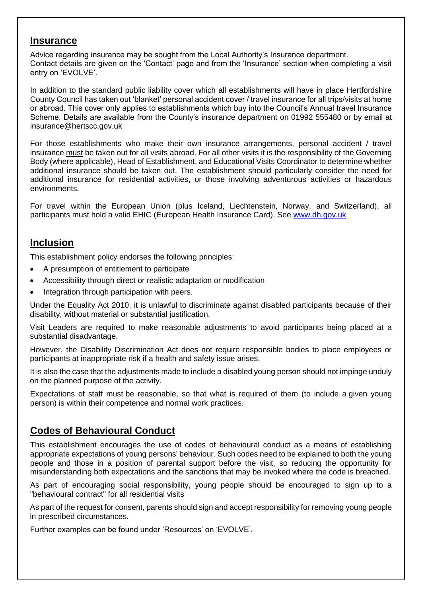## **Insurance**

Advice regarding insurance may be sought from the Local Authority's Insurance department. Contact details are given on the 'Contact' page and from the 'Insurance' section when completing a visit entry on 'EVOLVE'.

In addition to the standard public liability cover which all establishments will have in place Hertfordshire County Council has taken out 'blanket' personal accident cover / travel insurance for all trips/visits at home or abroad. This cover only applies to establishments which buy into the Council's Annual travel Insurance Scheme. Details are available from the County's insurance department on 01992 555480 or by email at insurance@hertscc.gov.uk

For those establishments who make their own insurance arrangements, personal accident / travel insurance must be taken out for all visits abroad. For all other visits it is the responsibility of the Governing Body (where applicable), Head of Establishment, and Educational Visits Coordinator to determine whether additional insurance should be taken out. The establishment should particularly consider the need for additional insurance for residential activities, or those involving adventurous activities or hazardous environments.

For travel within the European Union (plus Iceland, Liechtenstein, Norway, and Switzerland), all participants must hold a valid EHIC (European Health Insurance Card). See [www.dh.gov.uk](http://www.dh.gov.uk/)

## **Inclusion**

This establishment policy endorses the following principles:

- A presumption of entitlement to participate
- Accessibility through direct or realistic adaptation or modification
- Integration through participation with peers.

Under the Equality Act 2010, it is unlawful to discriminate against disabled participants because of their disability, without material or substantial justification.

Visit Leaders are required to make reasonable adjustments to avoid participants being placed at a substantial disadvantage.

However, the Disability Discrimination Act does not require responsible bodies to place employees or participants at inappropriate risk if a health and safety issue arises.

It is also the case that the adjustments made to include a disabled young person should not impinge unduly on the planned purpose of the activity.

Expectations of staff must be reasonable, so that what is required of them (to include a given young person) is within their competence and normal work practices.

## **Codes of Behavioural Conduct**

This establishment encourages the use of codes of behavioural conduct as a means of establishing appropriate expectations of young persons' behaviour. Such codes need to be explained to both the young people and those in a position of parental support before the visit, so reducing the opportunity for misunderstanding both expectations and the sanctions that may be invoked where the code is breached.

As part of encouraging social responsibility, young people should be encouraged to sign up to a "behavioural contract" for all residential visits

As part of the request for consent, parents should sign and accept responsibility for removing young people in prescribed circumstances.

Further examples can be found under 'Resources' on 'EVOLVE'.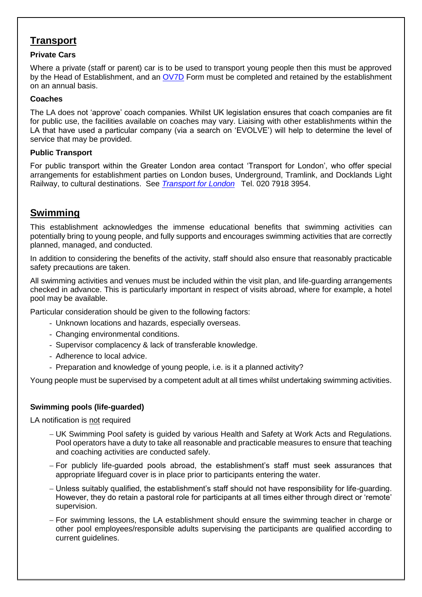## **Transport**

#### **Private Cars**

Where a private (staff or parent) car is to be used to transport young people then this must be approved by the Head of Establishment, and an [OV7D](file:///S:/HERTFORD01/CSERV/PEOPLE%20PROP/sermu/DATA/Sharedir/SDRIVE/Health%20%20&%20Safety/EPAS/OFFSITE%20VISITS/Offsite%20Visits%20Manual/Offsite%20Visits%20Manual%20Revision%203%20-%20Nov%2006/CSF4261%20FORM%20OV%207D%20rev%201106.doc) Form must be completed and retained by the establishment on an annual basis.

#### **Coaches**

The LA does not 'approve' coach companies. Whilst UK legislation ensures that coach companies are fit for public use, the facilities available on coaches may vary. Liaising with other establishments within the LA that have used a particular company (via a search on 'EVOLVE') will help to determine the level of service that may be provided.

#### **Public Transport**

For public transport within the Greater London area contact 'Transport for London', who offer special arrangements for establishment parties on London buses, Underground, Tramlink, and Docklands Light Railway, to cultural destinations. See *[Transport for London](http://tfl.gov.uk/tickets/14311.aspx)* Tel. 020 7918 3954.

## **Swimming**

This establishment acknowledges the immense educational benefits that swimming activities can potentially bring to young people, and fully supports and encourages swimming activities that are correctly planned, managed, and conducted.

In addition to considering the benefits of the activity, staff should also ensure that reasonably practicable safety precautions are taken.

All swimming activities and venues must be included within the visit plan, and life-guarding arrangements checked in advance. This is particularly important in respect of visits abroad, where for example, a hotel pool may be available.

Particular consideration should be given to the following factors:

- Unknown locations and hazards, especially overseas.
- Changing environmental conditions.
- Supervisor complacency & lack of transferable knowledge.
- Adherence to local advice.
- Preparation and knowledge of young people, i.e. is it a planned activity?

Young people must be supervised by a competent adult at all times whilst undertaking swimming activities.

#### **Swimming pools (life-guarded)**

LA notification is not required

- UK Swimming Pool safety is guided by various Health and Safety at Work Acts and Regulations. Pool operators have a duty to take all reasonable and practicable measures to ensure that teaching and coaching activities are conducted safely.
- For publicly life-guarded pools abroad, the establishment's staff must seek assurances that appropriate lifeguard cover is in place prior to participants entering the water.
- Unless suitably qualified, the establishment's staff should not have responsibility for life-guarding. However, they do retain a pastoral role for participants at all times either through direct or 'remote' supervision.
- For swimming lessons, the LA establishment should ensure the swimming teacher in charge or other pool employees/responsible adults supervising the participants are qualified according to current guidelines.